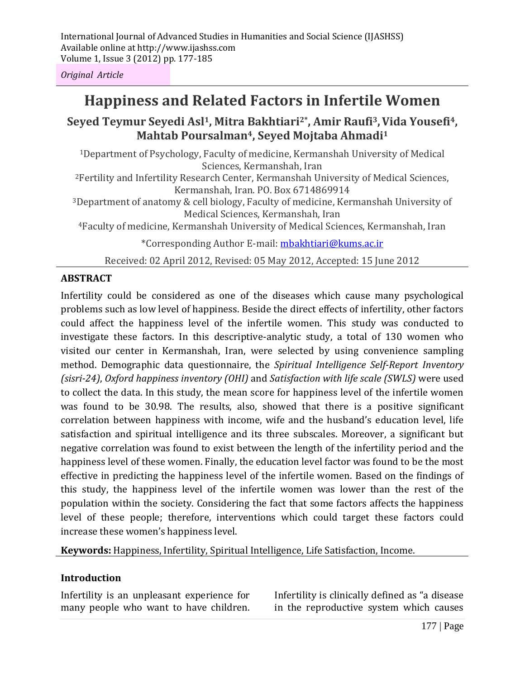International Journal of Advanced Studies in Humanities and Social Science (IJASHSS) Available online at http://www.ijashss.com Volume 1, Issue 3 (2012) pp. 177-185

*Original Article*

# **Happiness and Related Factors in Infertile Women**

# **Seyed Teymur Seyedi Asl1, Mitra Bakhtiari2\*, Amir Raufi3,Vida Yousefi4, Mahtab Poursalman4, Seyed Mojtaba Ahmadi<sup>1</sup>**

<sup>1</sup>Department of Psychology, Faculty of medicine, Kermanshah University of Medical Sciences, Kermanshah, Iran <sup>2</sup>Fertility and Infertility Research Center, Kermanshah University of Medical Sciences, Kermanshah, Iran. PO. Box 6714869914 <sup>3</sup>Department of anatomy & cell biology, Faculty of medicine, Kermanshah University of Medical Sciences, Kermanshah, Iran <sup>4</sup>Faculty of medicine, Kermanshah University of Medical Sciences, Kermanshah, Iran \*Corresponding Author E-mail: mbakhtiari@kums.ac.ir

Received: 02 April 2012, Revised: 05 May 2012, Accepted: 15 June 2012

#### **ABSTRACT**

Infertility could be considered as one of the diseases which cause many psychological problems such as low level of happiness. Beside the direct effects of infertility, other factors could affect the happiness level of the infertile women. This study was conducted to investigate these factors. In this descriptive-analytic study, a total of 130 women who visited our center in Kermanshah, Iran, were selected by using convenience sampling method. Demographic data questionnaire, the *Spiritual Intelligence Self‐Report Inventory (sisri-24)*, *Oxford happiness inventory (OHI)* and *Satisfaction with life scale (SWLS)* were used to collect the data. In this study, the mean score for happiness level of the infertile women was found to be 30.98. The results, also, showed that there is a positive significant correlation between happiness with income, wife and the husband's education level, life satisfaction and spiritual intelligence and its three subscales. Moreover, a significant but negative correlation was found to exist between the length of the infertility period and the happiness level of these women. Finally, the education level factor was found to be the most effective in predicting the happiness level of the infertile women. Based on the findings of this study, the happiness level of the infertile women was lower than the rest of the population within the society. Considering the fact that some factors affects the happiness level of these people; therefore, interventions which could target these factors could increase these women's happiness level.

**Keywords:** Happiness, Infertility, Spiritual Intelligence, Life Satisfaction, Income.

#### **Introduction**

Infertility is an unpleasant experience for many people who want to have children.

Infertility is clinically defined as "a disease in the reproductive system which causes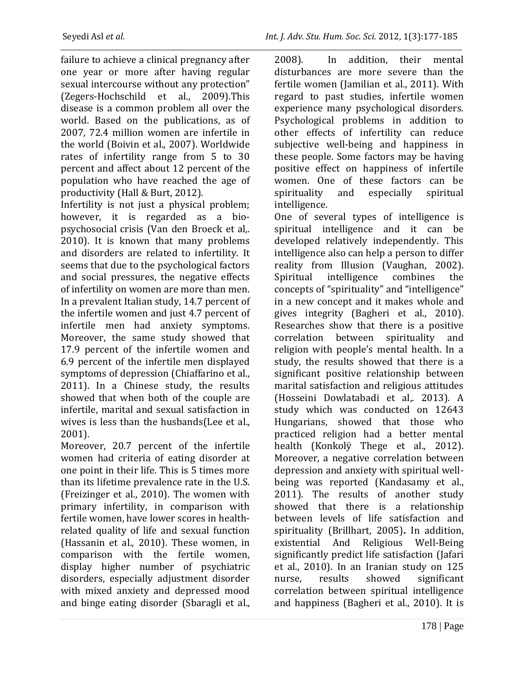failure to achieve a clinical pregnancy after one year or more after having regular sexual intercourse without any protection" (Zegers-Hochschild et al., 2009).This disease is a common problem all over the world. Based on the publications, as of 2007, 72.4 million women are infertile in the world (Boivin et al., 2007). Worldwide rates of infertility range from 5 to 30 percent and affect about 12 percent of the population who have reached the age of productivity (Hall & Burt, 2012).

Infertility is not just a physical problem; however, it is regarded as a biopsychosocial crisis (Van den Broeck et al,. 2010). It is known that many problems and disorders are related to infertility. It seems that due to the psychological factors and social pressures, the negative effects of infertility on women are more than men. In a prevalent Italian study, 14.7 percent of the infertile women and just 4.7 percent of infertile men had anxiety symptoms. Moreover, the same study showed that 17.9 percent of the infertile women and 6.9 percent of the infertile men displayed symptoms of depression (Chiaffarino et al., 2011). In a Chinese study, the results showed that when both of the couple are infertile, marital and sexual satisfaction in wives is less than the husbands(Lee et al., 2001).

Moreover, 20.7 percent of the infertile women had criteria of eating disorder at one point in their life. This is 5 times more than its lifetime prevalence rate in the U.S. (Freizinger et al., 2010). The women with primary infertility, in comparison with fertile women, have lower scores in healthrelated quality of life and sexual function (Hassanin et al., 2010). These women, in comparison with the fertile women, display higher number of psychiatric disorders, especially adjustment disorder with mixed anxiety and depressed mood and binge eating disorder (Sbaragli et al., 2008). In addition, their mental disturbances are more severe than the fertile women (Jamilian et al., 2011). With regard to past studies, infertile women experience many psychological disorders. Psychological problems in addition to other effects of infertility can reduce subjective well-being and happiness in these people. Some factors may be having positive effect on happiness of infertile women. One of these factors can be spirituality and especially spiritual intelligence.

One of several types of intelligence is spiritual intelligence and it can be developed relatively independently. This intelligence also can help a person to differ reality from Illusion (Vaughan, 2002). Spiritual intelligence combines the concepts of "spirituality" and "intelligence" in a new concept and it makes whole and gives integrity (Bagheri et al., 2010). Researches show that there is a positive correlation between spirituality and religion with people's mental health. In a study, the results showed that there is a significant positive relationship between marital satisfaction and religious attitudes (Hosseini Dowlatabadi et al,. 2013). A study which was conducted on 12643 Hungarians, showed that those who practiced religion had a better mental health (Konkolÿ Thege et al., 2012). Moreover, a negative correlation between depression and anxiety with spiritual wellbeing was reported (Kandasamy et al., 2011). The results of another study showed that there is a relationship between levels of life satisfaction and spirituality (Brillhart, 2005)**.** In addition, existential And Religious Well-Being significantly predict life satisfaction (Jafari et al., 2010). In an Iranian study on 125 nurse, results showed significant correlation between spiritual intelligence and happiness (Bagheri et al., 2010). It is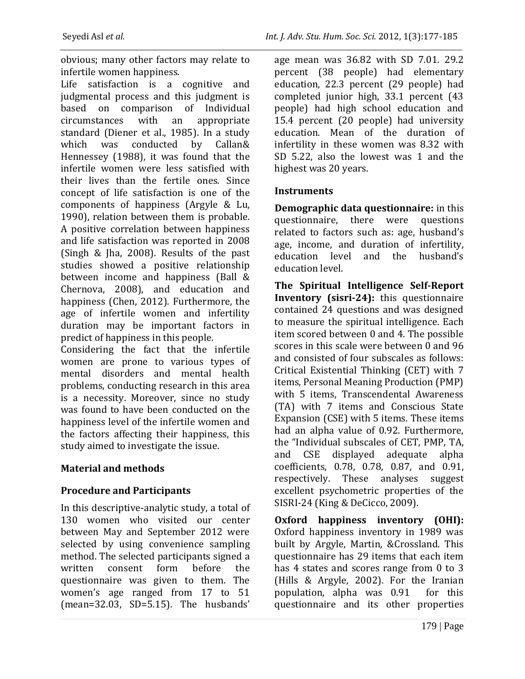obvious; many other factors may relate to infertile women happiness.

Life satisfaction is a cognitive and judgmental process and this judgment is based on comparison of Individual circumstances with an appropriate standard (Diener et al., 1985). In a study which was conducted by Callan& Hennessey (1988), it was found that the infertile women were less satisfied with their lives than the fertile ones. Since concept of life satisfaction is one of the components of happiness (Argyle & Lu, 1990), relation between them is probable. A positive correlation between happiness and life satisfaction was reported in 2008 (Singh & Jha, 2008). Results of the past studies showed a positive relationship between income and happiness (Ball & Chernova, 2008), and education and happiness (Chen, 2012). Furthermore, the age of infertile women and infertility duration may be important factors in predict of happiness in this people.

Considering the fact that the infertile women are prone to various types of mental disorders and mental health problems, conducting research in this area is a necessity. Moreover, since no study was found to have been conducted on the happiness level of the infertile women and the factors affecting their happiness, this study aimed to investigate the issue.

## **Material and methods**

## **Procedure and Participants**

In this descriptive-analytic study, a total of 130 women who visited our center between May and September 2012 were selected by using convenience sampling method. The selected participants signed a written consent form before the questionnaire was given to them. The women's age ranged from 17 to 51 (mean=32.03, SD=5.15). The husbands'

age mean was 36.82 with SD 7.01. 29.2 percent (38 people) had elementary education, 22.3 percent (29 people) had completed junior high, 33.1 percent (43 people) had high school education and 15.4 percent (20 people) had university education. Mean of the duration of infertility in these women was 8.32 with SD 5.22, also the lowest was 1 and the highest was 20 years.

## **Instruments**

**Demographic data questionnaire:** in this questionnaire, there were questions related to factors such as: age, husband's age, income, and duration of infertility, education level and the husband's education level.

**The Spiritual Intelligence Self‐Report Inventory (sisri-24):** this questionnaire contained 24 questions and was designed to measure the spiritual intelligence. Each item scored between 0 and 4. The possible scores in this scale were between 0 and 96 and consisted of four subscales as follows: Critical Existential Thinking (CET) with 7 items, Personal Meaning Production (PMP) with 5 items, Transcendental Awareness (TA) with 7 items and Conscious State Expansion (CSE) with 5 items. These items had an alpha value of 0.92. Furthermore, the "Individual subscales of CET, PMP, TA, and CSE displayed adequate alpha coefficients, 0.78, 0.78, 0.87, and 0.91, respectively. These analyses suggest excellent psychometric properties of the SISRI-24 (King & DeCicco, 2009).

**Oxford happiness inventory (OHI):** Oxford happiness inventory in 1989 was built by Argyle, Martin, &Crossland. This questionnaire has 29 items that each item has 4 states and scores range from 0 to 3 (Hills & Argyle, 2002). For the Iranian population, alpha was 0.91 for this questionnaire and its other properties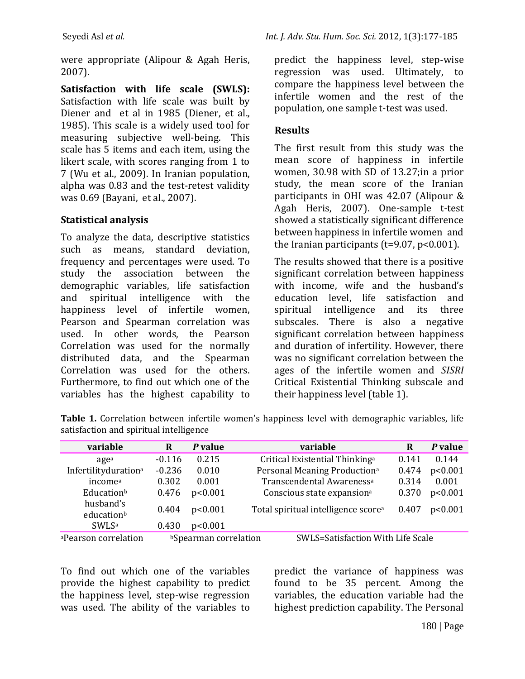were appropriate (Alipour & Agah Heris, 2007).

**Satisfaction with life scale (SWLS):** Satisfaction with life scale was built by Diener and et al in 1985 (Diener, et al., 1985). This scale is a widely used tool for measuring subjective well-being. This scale has 5 items and each item, using the likert scale, with scores ranging from 1 to 7 (Wu et al., 2009). In Iranian population, alpha was 0.83 and the test-retest validity was 0.69 (Bayani, et al., 2007).

## **Statistical analysis**

education<sup>b</sup>

To analyze the data, descriptive statistics such as means, standard deviation, frequency and percentages were used. To study the association between the demographic variables, life satisfaction and spiritual intelligence with the happiness level of infertile women, Pearson and Spearman correlation was used. In other words, the Pearson Correlation was used for the normally distributed data, and the Spearman Correlation was used for the others. Furthermore, to find out which one of the variables has the highest capability to predict the happiness level, step-wise regression was used. Ultimately, to compare the happiness level between the infertile women and the rest of the population, one sample t-test was used.

#### **Results**

The first result from this study was the mean score of happiness in infertile women, 30.98 with SD of 13.27;in a prior study, the mean score of the Iranian participants in OHI was 42.07 (Alipour & Agah Heris, 2007). One-sample t-test showed a statistically significant difference between happiness in infertile women and the Iranian participants ( $t=9.07$ ,  $p<0.001$ ).

The results showed that there is a positive significant correlation between happiness with income, wife and the husband's education level, life satisfaction and spiritual intelligence and its three subscales. There is also a negative significant correlation between happiness and duration of infertility. However, there was no significant correlation between the ages of the infertile women and *SISRI*  Critical Existential Thinking subscale and their happiness level (table 1).

**variable R** *P* **value variable R** *P* **value** age<sup>a</sup> -0.116 0.215 Critical Existential Thinking<sup>a</sup> 0.141 0.144 Infertilityduration<sup>a</sup> -0.236 0.010 Personal Meaning Production<sup>a</sup> 0.474 p<0.001 income<sup>a</sup> 0.302 0.001 Transcendental Awareness<sup>a</sup> 0.314 0.001 Education<sup>b</sup> 0.476 p<0.001 Conscious state expansion<sup>a</sup> 0.370 p<0.001

husband's<br>
0.404 p<0.001 Total spiritual intelligence score<sup>a</sup> 0.407 p<0.001

**Table 1.** Correlation between infertile women's happiness level with demographic variables, life satisfaction and spiritual intelligence

SWLS<sup>a</sup> 0.430 p<0.001 aPearson correlation bSpearman correlation SWLS=Satisfaction With Life Scale

To find out which one of the variables provide the highest capability to predict the happiness level, step-wise regression was used. The ability of the variables to predict the variance of happiness was found to be 35 percent. Among the variables, the education variable had the highest prediction capability. The Personal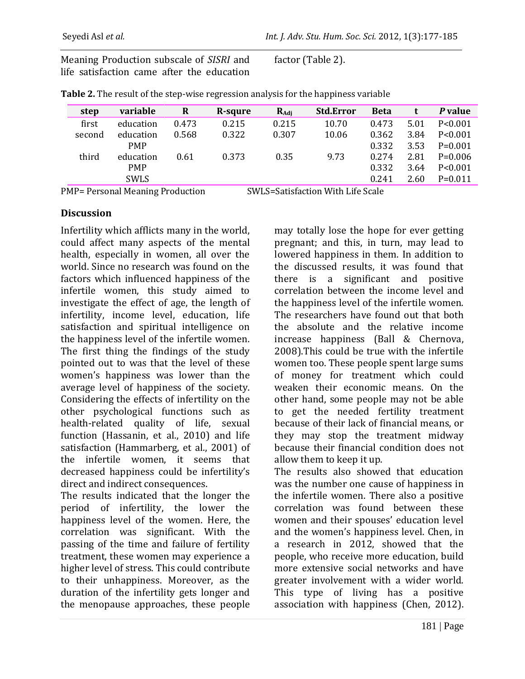Meaning Production subscale of *SISRI* and life satisfaction came after the education factor (Table 2).

| variable   | R     | R-squre | $R_{\rm Adi}$ | <b>Std.Error</b> | <b>Beta</b> |      | P value   |
|------------|-------|---------|---------------|------------------|-------------|------|-----------|
| education  | 0.473 | 0.215   | 0.215         | 10.70            | 0.473       | 5.01 | P < 0.001 |
| education  | 0.568 | 0.322   | 0.307         | 10.06            | 0.362       | 3.84 | P < 0.001 |
| <b>PMP</b> |       |         |               |                  | 0.332       | 3.53 | $P=0.001$ |
| education  | 0.61  | 0.373   | 0.35          | 9.73             | 0.274       | 2.81 | $P=0.006$ |
| <b>PMP</b> |       |         |               |                  | 0.332       | 3.64 | P < 0.001 |
| SWLS       |       |         |               |                  | 0.241       | 2.60 | $P=0.011$ |
|            |       |         |               |                  |             |      |           |

**Table 2.** The result of the step-wise regression analysis for the happiness variable

PMP= Personal Meaning Production SWLS=Satisfaction With Life Scale

## **Discussion**

Infertility which afflicts many in the world, could affect many aspects of the mental health, especially in women, all over the world. Since no research was found on the factors which influenced happiness of the infertile women, this study aimed to investigate the effect of age, the length of infertility, income level, education, life satisfaction and spiritual intelligence on the happiness level of the infertile women. The first thing the findings of the study pointed out to was that the level of these women's happiness was lower than the average level of happiness of the society. Considering the effects of infertility on the other psychological functions such as health-related quality of life, sexual function (Hassanin, et al., 2010) and life satisfaction (Hammarberg, et al., 2001) of the infertile women, it seems that decreased happiness could be infertility's direct and indirect consequences.

The results indicated that the longer the period of infertility, the lower the happiness level of the women. Here, the correlation was significant. With the passing of the time and failure of fertility treatment, these women may experience a higher level of stress. This could contribute to their unhappiness. Moreover, as the duration of the infertility gets longer and the menopause approaches, these people may totally lose the hope for ever getting pregnant; and this, in turn, may lead to lowered happiness in them. In addition to the discussed results, it was found that there is a significant and positive correlation between the income level and the happiness level of the infertile women. The researchers have found out that both the absolute and the relative income increase happiness (Ball & Chernova, 2008).This could be true with the infertile women too. These people spent large sums of money for treatment which could weaken their economic means. On the other hand, some people may not be able to get the needed fertility treatment because of their lack of financial means, or they may stop the treatment midway because their financial condition does not allow them to keep it up.

The results also showed that education was the number one cause of happiness in the infertile women. There also a positive correlation was found between these women and their spouses' education level and the women's happiness level. Chen, in a research in 2012, showed that the people, who receive more education, build more extensive social networks and have greater involvement with a wider world. This type of living has a positive association with happiness (Chen, 2012).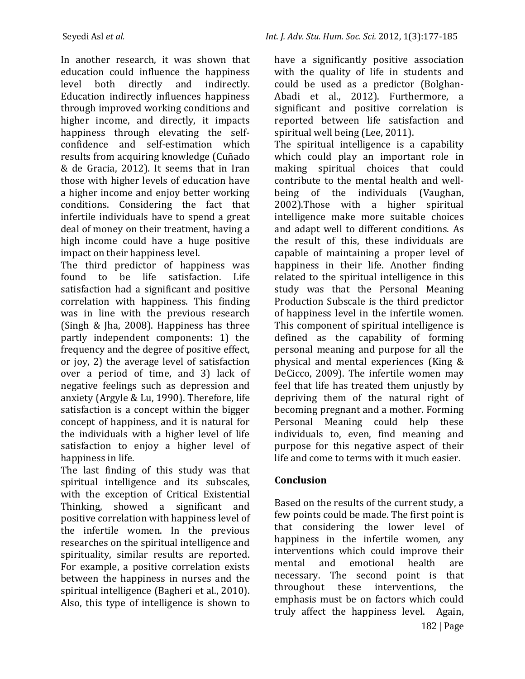In another research, it was shown that education could influence the happiness level both directly and indirectly. Education indirectly influences happiness through improved working conditions and higher income, and directly, it impacts happiness through elevating the selfconfidence and self-estimation which results from acquiring knowledge (Cuñado & de Gracia, 2012). It seems that in Iran those with higher levels of education have a higher income and enjoy better working conditions. Considering the fact that infertile individuals have to spend a great deal of money on their treatment, having a high income could have a huge positive impact on their happiness level.

The third predictor of happiness was found to be life satisfaction. Life satisfaction had a significant and positive correlation with happiness. This finding was in line with the previous research (Singh & Jha, 2008). Happiness has three partly independent components: 1) the frequency and the degree of positive effect, or joy, 2) the average level of satisfaction over a period of time, and 3) lack of negative feelings such as depression and anxiety (Argyle & Lu, 1990). Therefore, life satisfaction is a concept within the bigger concept of happiness, and it is natural for the individuals with a higher level of life satisfaction to enjoy a higher level of happiness in life.

The last finding of this study was that spiritual intelligence and its subscales, with the exception of Critical Existential Thinking, showed a significant and positive correlation with happiness level of the infertile women. In the previous researches on the spiritual intelligence and spirituality, similar results are reported. For example, a positive correlation exists between the happiness in nurses and the spiritual intelligence (Bagheri et al., 2010). Also, this type of intelligence is shown to have a significantly positive association with the quality of life in students and could be used as a predictor (Bolghan-Abadi et al., 2012). Furthermore, a significant and positive correlation is reported between life satisfaction and spiritual well being (Lee, 2011).

The spiritual intelligence is a capability which could play an important role in making spiritual choices that could contribute to the mental health and wellbeing of the individuals (Vaughan, 2002).Those with a higher spiritual intelligence make more suitable choices and adapt well to different conditions. As the result of this, these individuals are capable of maintaining a proper level of happiness in their life. Another finding related to the spiritual intelligence in this study was that the Personal Meaning Production Subscale is the third predictor of happiness level in the infertile women. This component of spiritual intelligence is defined as the capability of forming personal meaning and purpose for all the physical and mental experiences (King & DeCicco, 2009). The infertile women may feel that life has treated them unjustly by depriving them of the natural right of becoming pregnant and a mother. Forming Personal Meaning could help these individuals to, even, find meaning and purpose for this negative aspect of their life and come to terms with it much easier.

# **Conclusion**

Based on the results of the current study, a few points could be made. The first point is that considering the lower level of happiness in the infertile women, any interventions which could improve their mental and emotional health are necessary. The second point is that throughout these interventions, the emphasis must be on factors which could truly affect the happiness level. Again,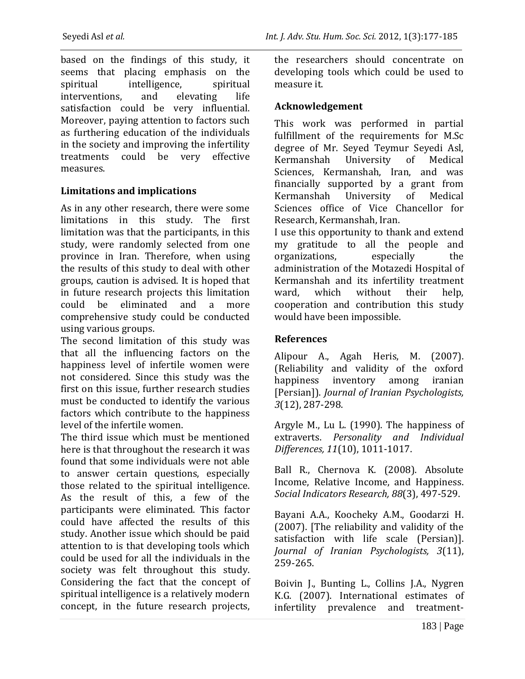based on the findings of this study, it seems that placing emphasis on the spiritual intelligence, spiritual interventions, and elevating life satisfaction could be very influential. Moreover, paying attention to factors such as furthering education of the individuals in the society and improving the infertility treatments could be very effective measures.

## **Limitations and implications**

As in any other research, there were some limitations in this study. The first limitation was that the participants, in this study, were randomly selected from one province in Iran. Therefore, when using the results of this study to deal with other groups, caution is advised. It is hoped that in future research projects this limitation could be eliminated and a more comprehensive study could be conducted using various groups.

The second limitation of this study was that all the influencing factors on the happiness level of infertile women were not considered. Since this study was the first on this issue, further research studies must be conducted to identify the various factors which contribute to the happiness level of the infertile women.

The third issue which must be mentioned here is that throughout the research it was found that some individuals were not able to answer certain questions, especially those related to the spiritual intelligence. As the result of this, a few of the participants were eliminated. This factor could have affected the results of this study. Another issue which should be paid attention to is that developing tools which could be used for all the individuals in the society was felt throughout this study. Considering the fact that the concept of spiritual intelligence is a relatively modern concept, in the future research projects, the researchers should concentrate on developing tools which could be used to measure it.

## **Acknowledgement**

This work was performed in partial fulfillment of the requirements for M.Sc degree of Mr. Seyed Teymur Seyedi Asl, Kermanshah University of Medical Sciences, Kermanshah, Iran, and was financially supported by a grant from Kermanshah University of Medical Sciences office of Vice Chancellor for Research, Kermanshah, Iran.

I use this opportunity to thank and extend my gratitude to all the people and organizations, especially the administration of the Motazedi Hospital of Kermanshah and its infertility treatment ward, which without their help, cooperation and contribution this study would have been impossible.

## **References**

Alipour A., Agah Heris, M. (2007). (Reliability and validity of the oxford happiness inventory among iranian [Persian]). *Journal of Iranian Psychologists, 3*(12), 287-298.

Argyle M., Lu L. (1990). The happiness of extraverts. *Personality and Individual Differences, 11*(10), 1011-1017.

Ball R., Chernova K. (2008). Absolute Income, Relative Income, and Happiness. *Social Indicators Research, 88*(3), 497-529.

Bayani A.A., Koocheky A.M., Goodarzi H. (2007). [The reliability and validity of the satisfaction with life scale (Persian)]. *Journal of Iranian Psychologists, 3*(11), 259-265.

Boivin J., Bunting L., Collins J.A., Nygren K.G. (2007). International estimates of infertility prevalence and treatment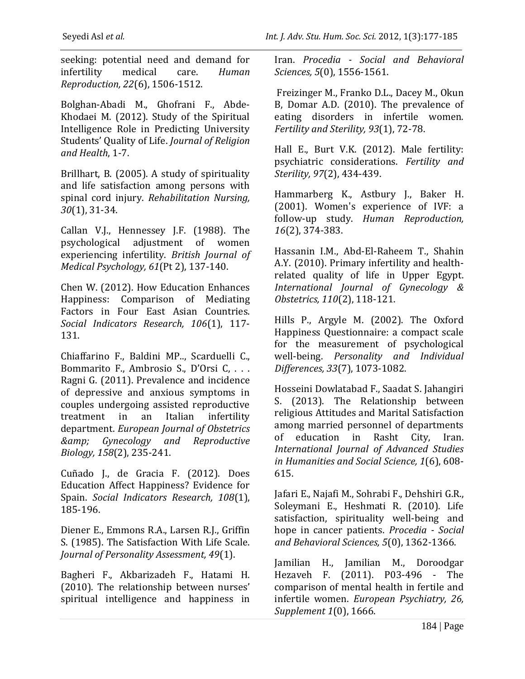seeking: potential need and demand for infertility medical care. *Human Reproduction, 22*(6), 1506-1512.

Bolghan-Abadi M., Ghofrani F., Abde-Khodaei M. (2012). Study of the Spiritual Intelligence Role in Predicting University Students' Quality of Life. *Journal of Religion and Health*, 1-7.

Brillhart, B. (2005). A study of spirituality and life satisfaction among persons with spinal cord injury. *Rehabilitation Nursing, 30*(1), 31-34.

Callan V.J., Hennessey J.F. (1988). The psychological adjustment of women experiencing infertility. *British Journal of Medical Psychology, 61*(Pt 2), 137-140.

Chen W. (2012). How Education Enhances Happiness: Comparison of Mediating Factors in Four East Asian Countries. *Social Indicators Research, 106*(1), 117- 131.

Chiaffarino F., Baldini MP.., Scarduelli C., Bommarito F., Ambrosio S., D'Orsi C, . . . Ragni G. (2011). Prevalence and incidence of depressive and anxious symptoms in couples undergoing assisted reproductive treatment in an Italian infertility department. *European Journal of Obstetrics & Gynecology and Reproductive Biology, 158*(2), 235-241.

Cuñado J., de Gracia F. (2012). Does Education Affect Happiness? Evidence for Spain. *Social Indicators Research, 108*(1), 185-196.

Diener E., Emmons R.A., Larsen R.J., Griffin S. (1985). The Satisfaction With Life Scale. *Journal of Personality Assessment, 49*(1).

Bagheri F., Akbarizadeh F., Hatami H. (2010). The relationship between nurses' spiritual intelligence and happiness in Iran. *Procedia - Social and Behavioral Sciences, 5*(0), 1556-1561.

Freizinger M., Franko D.L., Dacey M., Okun B, Domar A.D. (2010). The prevalence of eating disorders in infertile women. *Fertility and Sterility, 93*(1), 72-78.

Hall E., Burt V.K. (2012). Male fertility: psychiatric considerations. *Fertility and Sterility, 97*(2), 434-439.

Hammarberg K., Astbury J., Baker H. (2001). Women's experience of IVF: a follow-up study. *Human Reproduction, 16*(2), 374-383.

Hassanin I.M., Abd-El-Raheem T., Shahin A.Y. (2010). Primary infertility and healthrelated quality of life in Upper Egypt. *International Journal of Gynecology & Obstetrics, 110*(2), 118-121.

Hills P., Argyle M. (2002). The Oxford Happiness Questionnaire: a compact scale for the measurement of psychological well-being. *Personality and Individual Differences, 33*(7), 1073-1082.

Hosseini Dowlatabad F., Saadat S. Jahangiri S. (2013). The Relationship between religious Attitudes and Marital Satisfaction among married personnel of departments of education in Rasht City, Iran. *International Journal of Advanced Studies in Humanities and Social Science, 1*(6), 608- 615.

Jafari E., Najafi M., Sohrabi F., Dehshiri G.R., Soleymani E., Heshmati R. (2010). Life satisfaction, spirituality well-being and hope in cancer patients. *Procedia - Social and Behavioral Sciences, 5*(0), 1362-1366.

Jamilian H., Jamilian M., Doroodgar Hezaveh F. (2011). P03-496 - The comparison of mental health in fertile and infertile women. *European Psychiatry, 26, Supplement 1*(0), 1666.